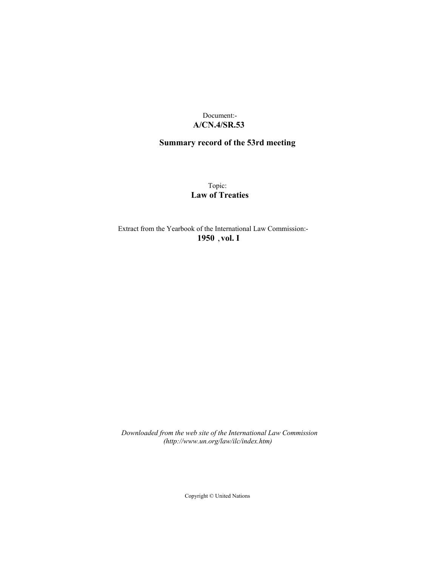# Document:- **A/CN.4/SR.53**

# **Summary record of the 53rd meeting**

Topic: **Law of Treaties**

Extract from the Yearbook of the International Law Commission:- **1950** ,**vol. I**

*Downloaded from the web site of the International Law Commission (http://www.un.org/law/ilc/index.htm)*

Copyright © United Nations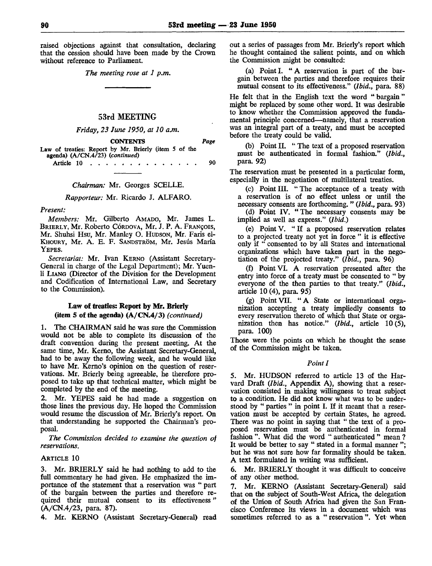raised objections against that consultation, declaring that the cession should have been made by the Crown without reference to Parliament.

*The meeting rose at 1 p.m.*

#### 53rd MEETING

*Friday, 23 June 1950, at 10 a.m.*

| <b>CONTENTS</b>                                       | Page |
|-------------------------------------------------------|------|
| Law of treaties: Report by Mr. Brierly (item 5 of the |      |
| agenda) (A/CN.4/23) (continued)                       |      |
| Article $10 \ldots \ldots \ldots \ldots \ldots$       | 90   |

#### *Chairman:* Mr. Georges SCELLE.

#### *Rapporteur:* Mr. Ricardo J. ALFARO.

#### *Present:*

*Members:* Mr. Gilberto AMADO, Mr. James L. BRIERLY, Mr. Roberto CÓRDOVA, Mr. J. P. A. FRANÇOIS, Mr. Shuhsi Hsu, Mr. Manley O. HUDSON, Mr. Paris el-KHOURY, Mr. A. E. F. SANDSTRÔM, Mr. Jesús María YEPES.

*Secretariat:* Mr. Ivan KERNO (Assistant Secretary-General in charge of the Legal Department); Mr. Yuenli LIANG (Director of the Division for the Development and Codification of International Law, and Secretary to the Commission).

## Law of treaties: Report by Mr. Brierly (item 5 of the agenda) (A/CN.4/3) *(continued)*

1. The CHAIRMAN said he was sure the Commission would not be able to complete its discussion of the draft convention during the present meeting. At the same time, Mr. Kerno, the Assistant Secretary-General, had to be away the following week, and he would like to have Mr. Kerno's opinion on the question of reservations. Mr. Brierly being agreeable, he therefore proposed to take up that technical matter, which might be completed by the end of the meeting.

2. Mr. YEPES said he had made a suggestion on those lines the previous day. He hoped the Commission would resume the discussion of Mr. Brierly's report. On that understanding he supported the Chairman's proposal.

*The Commission decided to examine the question of reservations.*

## ARTICLE 10

3. Mr. BRIERLY said he had nothing to add to the full commentary he had given. He emphasized the importance of the statement that a reservation was " part of the bargain between the parties and therefore required their mutual consent to its effectiveness " (A/CN.4/23, para. 87).

4. Mr. KERNO (Assistant Secretary-General) read

out a series of passages from Mr. Brierly's report which he thought contained the salient points, and on which the Commission might be consulted:

(a) Point I. " A reservation is part of the bargam between the parties and therefore requires their mutual consent to its effectiveness." *(Ibid.,* para. 88)

He felt that in the English text the word "bargain" might be replaced by some other word. It was desirable to know whether the Commission approved the fundamental principle concerned—namely, that a reservation was an integral part of a treaty, and must be accepted before the treaty could be valid.

(b) Point II. " The text of a proposed reservation must be authenticated in formal fashion." *(Ibid.,* para. 92)

The reservation must be presented in a particular form, especially in the negotiation of multilateral treaties.

(c) Point III. " The acceptance of a treaty with a reservation is of no effect unless or until the necessary consents are forthcoming. " *(Ibid.,* para. 93)

(d) Point IV. "The necessary consents may be implied as well as express." *(Ibid.)*

(e) Point V. " If a proposed reservation relates to a projected treaty not yet in force " it is effective only if " consented to by all States and international organizations which have taken part in the negotiation of the projected treaty." *(Ibid.,* para. 96)

(f) Pomt VI. A reservation presented after the entry into force of a treaty must be consented to " by everyone of the then parties to that treaty." *(Ibid.,* article 10 (4), para. 95)

(g) PointVII. "A State or international organization accepting a treaty impliedly consents to every reservation thereto of which that State or organization then has notice." *(Ibid.,* article 10 (5), para. 100)

Those were the points on which he thought the sense of the Commission might be taken.

#### *Point I*

*5.* Mr. HUDSON referred to article 13 of the Harvard Draft *(Ibid.,* Appendix A), showing that a reservation consisted in making willingness to treat subject to a condition. He did not know what was to be understood by " parties " in point I. If it meant that a reservation must be accepted by certain States, he agreed. There was no point in saying that " the text of a proposed reservation must be authenticated in formal fashion ". What did the word " authenticated " mean ? It would be better to say " stated in a formal manner "; but he was not sure how far formality should be taken. A text formulated in writing was sufficient.

6. Mr. BRIERLY thought it was difficult to conceive of any other method.

7. Mr. KERNO (Assistant Secretary-General) said that on the subject of South-West Africa, the delegation of the Union of South Africa had given the San Francisco Conference its views in a document which was sometimes referred to as a " reservation ". Yet when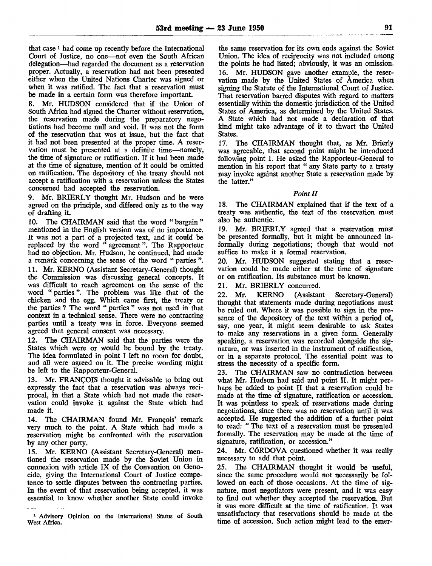that case <sup>1</sup> had come up recently before the International Court of Justice, no one—not even the South African delegation—had regarded the document as a reservation proper. Actually, a reservation had not been presented either when the United Nations Charter was signed or when it was ratified. The fact that a reservation must be made in a certain form was therefore important.

8. Mr. HUDSON considered that if the Union of South Africa had signed the Charter without reservation, the reservation made during the preparatory negotiations had become null and void. It was not the form of the reservation that was at issue, but the fact that it had not been presented at the proper time. A reservation must be presented at a definite time—namely, the time of signature or ratification. If it had been made at the time of signature, mention of it could be omitted on ratification. The depository of the treaty should not accept a ratification with a reservation unless the States concerned had accepted the reservation.

9. Mr. BRIERLY thought Mr. Hudson and he were agreed on the principle, and differed only as to the way of drafting it.

10. The CHAIRMAN said that the word " bargain " mentioned in the English version was of no importance. It was not a part of a projected text, and it could be replaced by the word " agreement ". The Rapporteur had no objection. Mr. Hudson, he continued, had made a remark concerning the sense of the word " parties ".

11. Mr. KERNO (Assistant Secretary-General) thought the Commission was discussing general concepts. It was difficult to reach agreement on the sense of the word " parties ". The problem was like that of the chicken and the egg. Which came first, the treaty or the parties ? The word " parties " was not used in that context in a technical sense. There were no contracting parties until a treaty was in force. Everyone seemed agreed that general consent was necessary.

12. The CHAIRMAN said that the parties were the States which were or would be bound by the treaty. The idea formulated in point I left no room for doubt, and all were agreed on it. The precise wording might be left to the Rapporteur-General.

13. Mr. FRANÇOIS thought it advisable to bring out expressly the fact that a reservation was always reciprocal, in that a State which had not made the reservation could invoke it against the State which had made it.

14. The CHAIRMAN found Mr. François' remark very much to the point. A State which had made a reservation might be confronted with the reservation by any other party.

15. Mr. KERNO (Assistant Secretary-General) mentioned the reservation made by the Soviet Union in connexion with article IX of the Convention on Genocide, giving the International Court of Justice competence to settle disputes between the contracting parties. In the event of that reservation being accepted, it was essential to know whether another State could invoke

the same reservation for its own ends against the Soviet Union. The idea of reciprocity was not included among the points he had listed; obviously, it was an omission. 16. Mr. HUDSON gave another example, the reservation made by the United States of America when signing the Statute of the International Court of Justice. That reservation barred disputes with regard to matters essentially within the domestic jurisdiction of the United States of America, as determined by the United States. A State which had not made a declaration of that kind might take advantage of it to thwart the United States.

17. The CHAIRMAN thought that, as Mr. Brierly was agreeable, that second point might be introduced following point I. He asked the Rapporteur-General to mention in his report that " any State party to a treaty may invoke against another State a reservation made by the latter."

#### *Point II*

18. The CHAIRMAN explained that if the text of a treaty was authentic, the text of the reservation must also be authentic.

19. Mr. BRIERLY agreed that a reservation must be presented formally, but it might be announced informally during negotiations; though that would not suffice to make it a formal reservation.

20. Mr. HUDSON suggested stating that a reservation could be made either at the time of signature or on ratification. Its substance must be known.

21. Mr. BRIERLY concurred.

22. Mr. KERNO (Assistant Secretary-General) thought that statements made during negotiations must be ruled out. Where it was possible to sign in the presence of the depository of the text within a period of, say, one year, it might seem desirable to ask States to make any reservations in a given form. Generally speaking, a reservation was recorded alongside the signature, or was inserted in the instrument of ratification, or in a separate protocol. The essential point was to stress the necessity of a specific form.

23. The CHAIRMAN saw no contradiction between what Mr. Hudson had said and point II. It might perhaps be added to point II that a reservation could be made at the time of signature, ratification or accession. It was pointless to speak of reservations made during negotiations, since there was no reservation until it was accepted. He suggested the addition of a further point to read: " The text of a reservation must be presented formally. The reservation may be made at the time of signature, ratification, or accession."

24. Mr. CÓRDOVA questioned whether it was really necessary to add that point.

25. The CHAIRMAN thought it would be useful, since the same procedure would not necessarily be followed on each of those occasions. At the time of signature, most negotiators were present, and it was easy to find out whether they accepted the reservation. But it was more difficult at the time of ratification. It was unsatisfactory that reservations should be made at the time of accession. Such action might lead to the emer-

<sup>1</sup> Advisory Opinion on the International Status of South West Africa.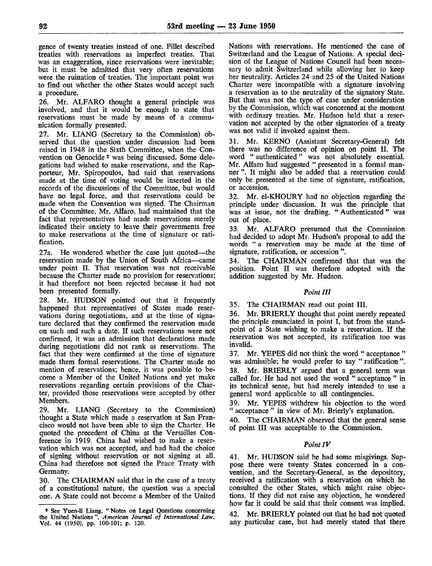gence of twenty treaties instead of one. Fillet described treaties with reservations as imperfect treaties. That was an exaggeration, since reservations were inevitable; but it must be admitted that very often reservations were the ruination of treaties. The important point was to find out whether the other States would accept such a procedure.

26. Mr. ALFARO thought a general principle was involved, and that it would be enough to state that reservations must be made by means of a communication formally presented.

27. Mr. LIANG (Secretary to the Commission) observed that the question under discussion had been raised in 1948 in the Sixth Committee, when the Convention on Genocide<sup>2</sup> was being discussed. Some delegations had wished to make reservations, and the Rapporteur, Mr. Spiropoulos, had said that reservations made at the time of voting would be inserted in the records of the discussions of the Committee, but would have no legal force, and that reservations could be made when the Convention was signed. The Chairman of the Committee, Mr. Alfaro, had maintained that the fact that representatives had made reservations merely indicated their anxiety to leave their governments free to make reservations at the time of signature or ratification.

27a. He wondered whether the case just quoted—the reservation made by the Union of South Africa—came under point II. That reservation was not receivable because the Charter made no provision for reservations; it had therefore not been rejected because it had not been presented formally.

28. Mr. HUDSON pointed out that it frequently happened that representatives of States made reservations during negotiations, and at the time of signature declared that they confirmed the reservation made on such and such a date. If such reservations were not confirmed, it was an admission that declarations made during negotiations did not rank as reservations. The fact that they were confirmed at the time of signature made them formal reservations. The Charter made no mention of reservations; hence, it was possible to become a Member of the United Nations and yet make reservations regarding certain provisions of the Charter, provided those reservations were accepted by other Members.

29. Mr. LIANG (Secretary to the Commission) thought a State which made a reservation at San Francisco would not have been able to sign the Charter. He quoted the precedent of China at the Versailles Conference in 1919. China had wished to make a reservation which was not accepted, and had had the choice of signing without reservation or not signing at all. China had therefore not signed the Peace Treaty with Germany.

30. The CHAIRMAN said that in the case of a treaty of a constitutional nature, the question was a special one. A State could not become a Member of the United Nations with reservations. He mentioned the case of Switzerland and the League of Nations. A special decision of the League of Nations Council had been necessary to admit Switzerland while allowing her to keep her neutrality. Articles 24 and 25 of the United Nations Charter were incompatible with a signature involving a reservation as to the neutrality of the signatory State. But that was not the type of case under consideration by the Commission, which was concerned at the moment with ordinary treaties. Mr. Hudson held that a reservation not accepted by the other signatories of a treaty was not valid if invoked against them.

31. Mr. KERNO (Assistant Secretary-General) felt there was no difference of opinion on point II. The word " authenticated " was not absolutely essential. Mr. Alfaro had suggested " presented in a formal manner ". It might also be added that a reservation could only be presented at the time of signature, ratification, or accession.

32. Mr. el-KHOURY had no objection regarding the principle under discussion. It was the principle that was at issue, not the drafting. " Authenticated " was out of place.

33. Mr. ALFARO presumed that the Commission had decided to adopt Mr. Hudson's proposal to add the words " a reservation may be made at the time of signature, ratification, or accession ".

34. The CHAIRMAN confirmed that that was the position. Point II was therefore adopted with the addition suggested by Mr. Hudson.

# *Point III*

35. The CHAIRMAN read out point III.

36. Mr. BRIERLY thought that point merely repeated the principle enunciated in point I, but from the standpoint of a State wishing to make a reservation. If the reservation was not accepted, its ratification too was invalid.

37. Mr. YEPES did not think the word " acceptance " was admissible; he would prefer to say " ratification ".

38. Mr. BRIERLY argued that a general term was called for. He had not used the word " acceptance " in its technical sense, but had merely intended to use a general word applicable to all contingencies.

39. Mr. YEPES withdrew his objection to the word " acceptance " in view of Mr. Brierly's explanation.

40. The CHAIRMAN observed that the general sense of point III was acceptable to the Commission.

# *Point IV*

41. Mr. HUDSON said he had some misgivings. Suppose there were twenty States concerned in a convention, and the Secretary-General, as the depository, received a ratification with a reservation on which he consulted the other States, which might raise objections. If they did not raise any objection, he wondered how far it could be said that their consent was implied.

42. Mr. BRIERLY pointed out that he had not quoted any particular case, but had merely stated that there

<sup>\*</sup> See Yuen-li Liang, " Notes on Legal Questions concerning the United Nations ", *American Journal of International Law,* Vol. 44 (1950), pp. 100-101; p. 120.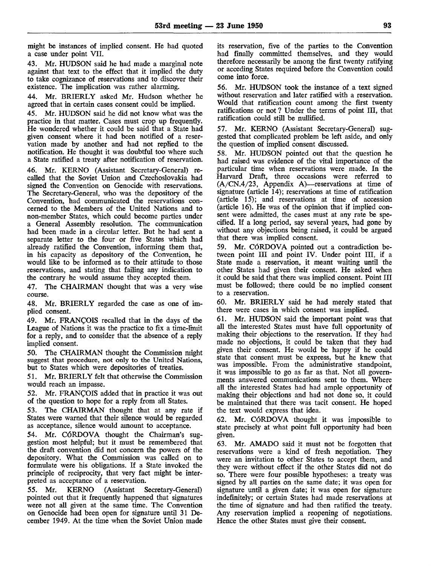might be instances of implied consent. He had quoted a case under point VII.

43. Mr. HUDSON said he had made a marginal note against that text to the effect that it implied the duty to take cognizance of reservations and to discover their existence. The implication was rather alarming.

44. Mr. BRIERLY asked Mr. Hudson whether he agreed that in certain cases consent could be implied.

45. Mr. HUDSON said he did not know what was the practice in that matter. Cases must crop up frequently. He wondered whether it could be said that a State had given consent where it had been notified of a reservation made by another and had not replied to the notification. He thought it was doubtful too where such a State ratified a treaty after notification of reservation.

46. Mr. KERNO (Assistant Secretary-General) recalled that the Soviet Union and Czechoslovakia had signed the Convention on Genocide with reservations. The Secretary-General, who was the depository of the Convention, had communicated the reservations concerned to the Members of the United Nations and to non-member States, which could become parties under a General Assembly resolution. The communication had been made in a circular letter. But he had sent a separate letter to the four or five States which had already ratified the Convention, informing them that, in his capacity as depository of the Convention, he would like to be informed as to their attitude to those reservations, and stating that failing any indication to the contrary he would assume they accepted them.

47. The CHAIRMAN thought that was a very wise course.

48. Mr. BRIERLY regarded the case as one of implied consent.

49. Mr. FRANÇOIS recalled that in the days of the League of Nations it was the practice to fix a time-limit for a reply, and to consider that the absence of a reply implied consent.

50. The CHAIRMAN thought the Commission might suggest that procedure, not only to the United Nations, but to States which were depositories of treaties.

51. Mr. BRIERLY felt that otherwise the Commission would reach an impasse.

52. Mr. FRANÇOIS added that in practice it was out of the question to hope for a reply from all States.

53. The CHAIRMAN thought that at any rate if States were warned that their silence would be regarded as acceptance, silence would amount to acceptance.

54. Mr. CÓRDOVA thought the Chairman's suggestion most helpful; but it must be remembered that the draft convention did not concern the powers of the depository. What the Commission was called on to formulate were his obligations. If a State invoked the principle of reciprocity, that very fact might be interpreted as acceptance of a reservation.

55. Mr. KERNO (Assistant Secretary-General) pointed out that it frequently happened that signatures were not all given at the same time. The Convention on Genocide had been open for signature until 31 December 1949. At the time when the Soviet Union made

its reservation, five of the parties to the Convention had finally committed themselves, and they would therefore necessarily be among the first twenty ratifying or acceding States required before the Convention could come into force.

56. Mr. HUDSON took the instance of a text signed without reservation and later ratified with a reservation. Would that ratification count among the first twenty ratifications or not ? Under the terms of point III, that ratification could still be nullified.

57. Mr. KERNO (Assistant Secretary-General) suggested that complicated problem be left aside, and only the question of implied consent discussed.

58. Mr. HUDSON pointed out that the question he had raised was evidence of the vital importance of the particular time when reservations were made. In the Harvard Draft, three occasions were referred to (A/CN.4/23, Appendix A)—reservations at time of signature (article 14); reservations at time of ratification (article 15); and reservations at time of accession (article 16). He was of the opinion that if implied consent were admitted, the cases must at any rate be specified. If a long period, say several years, had gone by without any objections being raised, it could be argued that there was implied consent.

59. Mr. CÓRDOVA pointed out a contradiction between point III and point IV. Under point III, if a State made a reservation, it meant waiting until the other States had given their consent. He asked when it could be said that there was implied consent. Point III must be followed; there could be no implied consent to a reservation.

60. Mr. BRIERLY said he had merely stated that there were cases in which consent was implied.

61. Mr. HUDSON said the important point was that all the interested States must have full opportunity of making their objections to the reservation. If they had made no objections, it could be taken that they had given their consent. He would be happy if he could state that consent must be express, but he knew that was impossible. From the administrative standpoint, it was impossible to go as far as that. Not all governments answered communications sent to them. Where all the interested States had had ample opportunity of making their objections and had not done so, it could be maintained that there was tacit consent. He hoped the text would express that idea.

62. Mr. CÓRDOVA thought it was impossible to state precisely at what point full opportunity had been given.

63. Mr. AMADO said it must not be forgotten that reservations were a kind of fresh negotiation. They were an invitation to other States to accept them, and they were without effect if the other States did not do so. There were four possible hypotheses: a treaty was signed by all parties on the same date; it was open for signature until a given date; it was open for signature indefinitely; or certain States had made reservations at the time of signature and had then ratified the treaty. Any reservation implied a reopening of negotiations. Hence the other States must give their consent.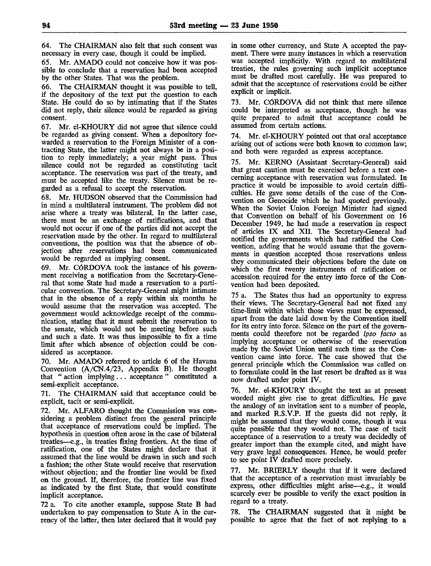64. The CHAIRMAN also felt that such consent was necessary in every case, though it could be implied.

65. Mr. AMADO could not conceive how it was possible to conclude that a reservation had been accepted by the other States. That was the problem.

66. The CHAIRMAN thought it was possible to tell, if the depository of the text put the question to each State. He could do so by intimating that if the States did not reply, their silence would be regarded as giving consent.

67. Mr. el-KHOURY did not agree that silence could be regarded as giving consent. When a depository forwarded a reservation to the Foreign Minister of a contracting State, the latter might not always be in a position to reply immediately; a year might pass. Thus silence could not be regarded as constituting tacit acceptance. The reservation was part of the treaty, and must be accepted like the treaty. Silence must be regarded as a refusal to accept the reservation.

68. Mr. HUDSON observed that the Commission had in mind a multilateral instrument. The problem did not arise where a treaty was bilateral. In the latter case, there must be an exchange of ratifications, and that would not occur if one of the parties did not accept the reservation made by the other. In regard to multilateral conventions, the position was that the absence of objection after reservations had been communicated would be regarded as implying consent.

69. Mr. CÓRDOVA took the instance of his government receiving a notification from the Secretary-General that some State had made a reservation to a particular convention. The Secretary-General might intimate that in the absence of a reply within six months he would assume that the reservation was accepted. The government would acknowledge receipt of the communication, stating that it must submit the reservation to the senate, which would not be meeting before such and such a date. It was thus impossible to fix a time limit after which absence of objection could be considered as acceptance.

70. Mr. AMADO referred to article 6 of the Havana Convention (A/CN.4/23, Appendix B). He thought that " action implying... acceptance " constituted a semi-explicit acceptance.

71. The CHAIRMAN said that acceptance could be explicit, tacit or semi-explicit.

72. Mr. ALFARO thought the Commission was considering a problem distinct from the general principle that acceptance of reservations could be implied. The hypothesis in question often arose in the case of bilateral treaties—e.g., in treaties fixing frontiers. At the time of ratification, one of the States might declare that it assumed that the line would be drawn in such and such a fashion; the other State would receive that reservation without objection; and the frontier line would be fixed on the ground. If, therefore, the frontier line was fixed as indicated by the first State, that would constitute implicit acceptance.

72 a. To cite another example, suppose State B had undertaken to pay compensation to State A in the currency of the latter, then later declared that it would pay

in some other currency, and State A accepted the payment. There were many instances in which a reservation was accepted implicitly. With regard to multilateral treaties, the rules governing such implicit acceptance must be drafted most carefully. He was prepared to admit that the acceptance of reservations could be either explicit or implicit.

73. Mr. CÓRDOVA did not think that mere silence could be interpreted as acceptance, though he was quite prepared to admit that acceptance could be assumed from certain actions.

74. Mr. el-KHOURY pointed out that oral acceptance arising out of actions were both known to common law; and both were regarded as express acceptance.

75. Mr. KERNO (Assistant Secretary-General) said that great caution must be exercised before a text concerning acceptance with reservation was formulated. In practice it would be impossible to avoid certain difficulties. He gave some details of the case of the Convention on Genocide which he had quoted previously. When the Soviet Union Foreign Minister had signed that Convention on behalf of his Government on 16 December 1949, he had made a reservation in respect of articles IX and XII. The Secretary-General had notified the governments which had ratified the Convention, adding that he would assume that the governments in question accepted those reservations unless they communicated their objections before the date on which the first twenty instruments of ratification or accession required for the entry into force of the Convention had been deposited.

75 a. The States thus had an opportunity to express their views. The Secretary-General had not fixed any time-limit within which those views must be expressed, apart from the date laid down by the Convention itself for its entry into force. Silence on the part of the governments could therefore not be regarded *ipso facto* as implying acceptance or otherwise of the reservation made by the Soviet Union until such time as the Convention came into force. The case showed that the general principle which the Commission was called on to formulate could in the last resort be drafted as it was now drafted under point IV.

Mr. el-KHOURY thought the text as at present worded might give rise to great difficulties. He gave the analogy of an invitation sent to a number of people, and marked R.S.V.P. If the guests did not reply, it might be assumed that they would come, though it was quite possible that they would not. The case of tacit acceptance of a reservation to a treaty was decidedly of greater import than the example cited, and might have very grave legal consequences. Hence, he would prefer to see point IV drafted more precisely.

77. Mr. BRIERLY thought that if it were declared that the acceptance of a reservation must invariably be express, other difficulties might arise—e.g., it would scarcely ever be possible to verify the exact position in regard to a treaty.

78. The CHAIRMAN suggested that it might be possible to agree that the fact of not replying to a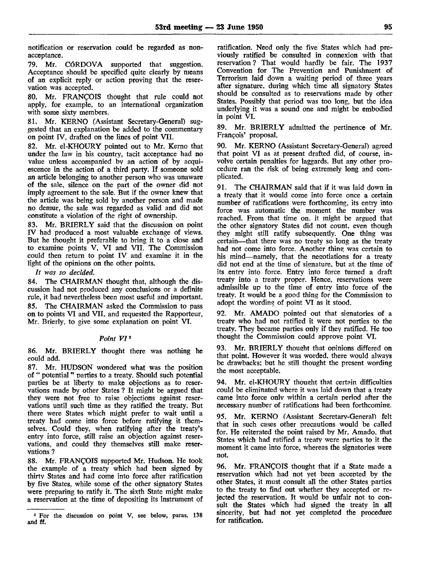notification or reservation could be regarded as nonacceptance.

79. Mr. CÓRDOVA supported that suggestion. Acceptance should be specified quite clearly by means of an explicit reply or action proving that the reservation was accepted.

80. Mr. FRANÇOIS thought that rule could not apply, for example, to an international organization with some sixty members.

81. Mr. KERNO (Assistant Secretary-General) suggested that an explanation be added to the commentary on point IV, drafted on the lines of point VII.

82. Mr. el-KHOURY pointed out to Mr. Kerno that under the law in his country, tacit acceptance had no value unless accompanied by an action of by acquiescence in the action of a third party. If someone sold an article belonging to another person who was unaware of the sale, silence on the part of the owner did not imply agreement to the sale. But if the owner knew that the article was being sold by another person and made no demur, the sale was regarded as valid and did not constitute a violation of the right of ownership.

83. Mr. BRIERLY said that the discussion on point IV had produced a most valuable exchange of views. But he thought it preferable to bring it to a close and to examine points V, VI and VII. The Commission could then return to point IV and examine it in the light of the opinions on the other points.

*It was so decided.*

84. The CHAIRMAN thought that, although the discussion had not produced any conclusions or a definite rule, it had nevertheless been most useful and important. 85. The CHAIRMAN asked the Commission to pass on to points VI and VII, and requested the Rapporteur, Mr. Brierly, to give some explanation on point VI.

# *Point VI<sup>3</sup>*

86. Mr. BRIERLY thought there was nothing he could add.

87. Mr. HUDSON wondered what was the position of " potential " parties to a treaty. Should such potential parties be at liberty to make objections as to reservations made by other States ? It might be argued that they were not free to raise objections against reservations until such time as they ratified the treaty. But there were States which might prefer to wait until a treaty had come into force before ratifying it themselves. Could they, when ratifying after the treaty's entry into force, still raise an objection against reservations, and could they themselves still make reservations ?

88. Mr. FRANÇOIS supported Mr. Hudson. He took the example of a treaty which had been signed by thirty States and had come into force after ratification by five States, while some of the other signatory States were preparing to ratify it. The sixth State might make a reservation at the time of depositing its instrument of ratification. Need only the five States which had previously ratified be consulted in connexion with that reservation? That would hardly be fair. The 1937 Convention for The Prevention and Punishment of Terrorism laid down a waiting period of three years after signature, during which time all signatory States should be consulted as to reservations made by other States. Possibly that period was too long, but the idea underlying it was a sound one and might be embodied in point VI.

89. Mr. BRIERLY admitted the pertinence of Mr. François' proposal.

90. Mr. KERNO (Assistant Secretary-General) agreed that point VI as at present drafted did, of course, involve certain penalties for laggards. But any other procedure ran the risk of being extremely long and complicated.

91. The CHAIRMAN said that if it was laid down in a treaty that it would come into force once a certain number of ratifications were forthcoming, its entry into force was automatic the moment the number was reached. From that time on. it might be argued that the other signatory States did not count, even though they might still ratify subsequently. One thing was certain—that there was no treaty so long as the treaty had not come into force. Another thing was certain to his mind—namely, that the negotiations for a treaty did not end at the time of signature, but at the time of its entry into force. Entry into force turned a draft treaty into a treaty proper. Hence, reservations were admissible up to the time of entry into force of the treaty. It would be a good thing for the Commission to adopt the wording of point VI as it stood.

92. Mr. AMADO pointed out that signatories of a treaty who had not ratified it were not parties to the treaty. They became parties only if they ratified. He too thought the Commission could approve point VI.

93. Mr. BRIERLY thought that opinions differed on that point. However it was worded, there would always be drawbacks; but he still thought the present wording the most acceptable.

94. Mr. el-KHOURY thought that certain difficulties could be eliminated where it was laid down that a treaty came into force onlv within a certain period after the necessary number of ratifications had been forthcoming.

95. Mr. KERNO (Assistant Secretary-General) felt that in such cases other precautions would be called for. He reiterated the point raised by Mr. Amado, that States which had ratified a treaty were parties to it the moment it came into force, whereas the signatories were not.

96. Mr. FRANÇOIS thought that if a State made a reservation which had not yet been accepted by the other States, it must consult all the other States parties to the treaty to find out whether they accepted or rejected the reservation. It would be unfair not to consult the States which had signed the treaty in all sincerity, but had not yet completed the procedure for ratification.

<sup>3</sup> For the discussion on point V, see below, paras. 138 and ft.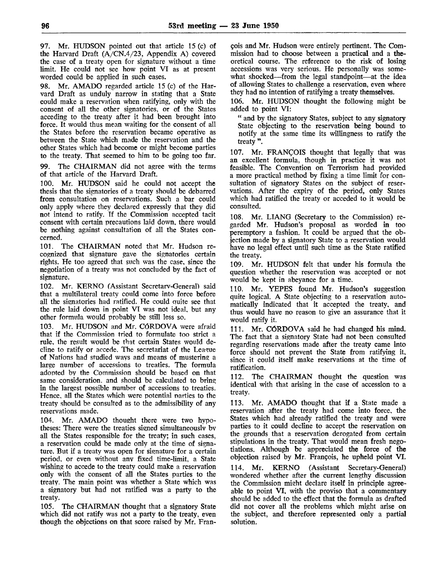97. Mr. HUDSON pointed out that article 15 (c) of the Harvard Draft (A/CN.4/23, Appendix A) covered the case of a treaty open for signature without a time limit. He could not see how point VI as at present worded could be applied in such cases.

98. Mr. AMADO regarded article 15 (c) of the Harvard Draft as unduly narrow in stating that a State could make a reservation when ratifying, only with the consent of all the other signatories, or of the States acceding to the treaty after it had been brought into force. It would thus mean waiting for the consent of all the States before the reservation became operative as between the State which made the reservation and the other States which had become or might become parties to the treaty. That seemed to him to be going too far.

99. The CHAIRMAN did not agree with the terms of that article of the Harvard Draft.

100. Mr. HUDSON said he could not accept the thesis that the signatories of a treaty should be debarred from consultation on reservations. Such a bar could only apply where they declared expressly that they did not intend to ratify. If the Commission accepted tacit consent with certain precautions laid down, there would be nothing against consultation of all the States concerned.

101. The CHAIRMAN noted that Mr. Hudson recognized that signature gave the signatories certain rights. He too agreed that such was the case, since the negotiation of a treaty was not concluded by the fact of signature.

102. Mr. KERNO (Assistant Secretary-General) said that a multilateral treaty could come into force before all the signatories had ratified. He could quite see that the rule laid down in point VI was not ideal, but any other formula would probably be still less so.

103. Mr. HUDSON and Mr. CÓRDOVA were afraid that if the Commission tried to formulate too strict a rule, the result would be that certain States would decline to ratify or accede. The secretariat of the League of Nations had studied ways and means of mustering a large number of accessions to treaties. The formula adopted by the Commission should be based on that same consideration, and should be calculated to bring in the largest possible number of accessions to treaties. Hence, all the States which were potential parties to the treaty should be consulted as to the admissibility of any reservations made.

104. Mr. AMADO thought there were two hypotheses: There were the treaties signed simultaneously bv all the States responsible for the treaty; in such cases, a reservation could be made only at the time of signature. But if a treaty was open for signature for a certain period, or even without anv fixed time-limit, a State wishing to accede to the treaty could make a reservation only with the consent of all the States parties to the treaty. The main point was whether a State which was a signatory but had not ratified was a party to the treaty.

105. The CHAIRMAN thought that a signatory State which did not ratify was not a party to the treaty, even though the objections on that score raised by Mr. Fran-

çois and Mr. Hudson were entirely pertinent. The Commission had to choose between a practical and a theoretical course. The reference to the risk of losing accessions was very serious. He personally was somewhat shocked—from the legal standpoint—at the idea of allowing States to challenge a reservation, even where they had no intention of ratifying a treaty themselves.

106. Mr. HUDSON thought the following might be added to point VI:

" and by the signatory States, subject to any signatory State objecting to the reservation being bound to notify at the same time its willingness to ratify the treaty ".

107. Mr. FRANÇOIS thought that legally that was an excellent formula, though in practice it was not feasible. The Convention on Terrorism had provided a more practical method by fixing a time limit for consultation of signatory States on the subject of reservations. After the expiry of the period, only States which had ratified the treaty or acceded to it would be consulted.

108. Mr. LTANG (Secretary to the Commission) regarded Mr. Hudson's proposal as worded in too peremptory a fashion. It could be argued that the objection made by a signatory State to a reservation would have no legal effect until such time as the State ratified the treaty.

109. Mr. HUDSON felt that under his formula the question whether the reservation was accepted or not would be kept in abeyance for a time.

110. Mr. YEPES found Mr. Hudson's suggestion quite logical. A State objecting to a reservation automatically indicated that it accepted the treaty, and thus would have no reason to give an assurance that it would ratify it.

111. Mr. CÓRDOVA said he had changed his mind. The fact that a signatory State had not been consulted regarding reservations made after the treaty came into force should not prevent the State from ratifying it, since it could itself make reservations at the time of ratification.

112. The CHAIRMAN thought the question was identical with that arising in the case of accession to a treaty.

113. Mr. AMADO thought that if a State made a reservation after the treaty had come into force, the States which had already ratified the treaty and were parties to it could decline to accept the reservation on the grounds that a reservation derogated from certain stipulations in the treaty. That would mean fresh negotiations. Although be appreciated the force of the objection raised by Mr. François, he upheld point VI.

114. Mr. KERNO (Assistant Secretary-General) wondered whether after the current lengthy discussion the Commission might declare itself in principle agreeable to point VI, with the proviso that a commentary should be added to the effect that the formula as drafted did not cover all the problems which might arise on the subject, and therefore represented only a partial solution.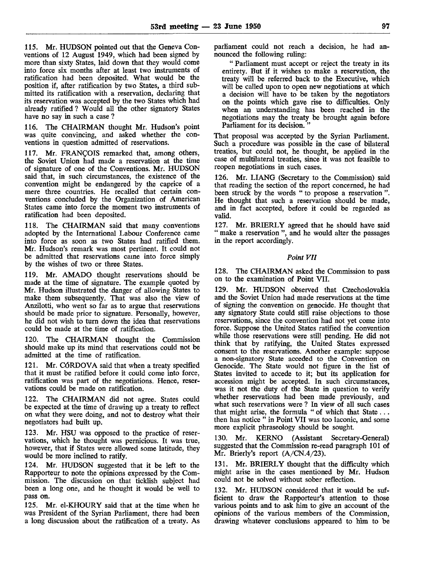115. Mr. HUDSON pointed out that the Geneva Conventions of 12 August 1949, which had been signed by more than sixty States, laid down that they would come into force six months after at least two instruments of ratification had been deposited. What would be the position if, after ratification by two States, a third submitted its ratification with a reservation, declaring that its reservation was accepted by the two States which had already ratified? Would all the other signatory States have no say in such a case ?

116. The CHAIRMAN thought Mr. Hudson's point was quite convincing, and asked whether the conventions in question admitted of reservations.

117. Mr. FRANÇOIS remarked that, among others, the Soviet Union had made a reservation at the time of signature of one of the Conventions. Mr. HUDSON said that, in such circumstances, the existence of the convention might be endangered by the caprice of a mere three countries. He recalled that certain conventions concluded by the Organization of American States came into force the moment two instruments of ratification had been deposited.

118. The CHAIRMAN said that many conventions adopted by the International Labour Conference came into force as soon as two States had ratified them. Mr. Hudson's remark was most pertinent. It could not be admitted that reservations came into force simply by the wishes of two or three States.

119. Mr. AMADO thought reservations should be made at the time of signature. The example quoted by Mr. Hudson illustrated the danger of allowing States to make them subsequently. That was also the view of Anzilotti, who went so far as to argue that reservations should be made prior to signature. Personally, however, he did not wish to turn down the idea that reservations could be made at the time of ratification.

120. The CHAIRMAN thought the Commission should make up its mind that reservations could not be admitted at the time of ratification.

121. Mr. CÓRDOVA said that when a treaty specified that it must be ratified before it could come into force, ratification was part of the negotiations. Hence, reservations could be made on ratification.

122. The CHAIRMAN did not agree. States could be expected at the time of drawing up a treaty to reflect on what they were doing, and not to destroy what their negotiators had built up.

123. Mr. HSU was opposed to the practice of reservations, which he thought was pernicious. It was true, however, that if States were allowed some latitude, they would be more inclined to ratify.

124. Mr. HUDSON suggested that it be left to the Rapporteur to note the opinions expressed by the Commission. The discussion on that ticklish subject had been a long one, and he thought it would be well to pass on.

125. Mr. el-KHOURY said that at the time when he was President of the Syrian Parliament, there had been a long discussion about the ratification of a treaty. As

parliament could not reach a decision, he had announced the following ruling:

" Parliament must accept or reject the treaty in its entirety. But if it wishes to make a reservation, the treaty will be referred back to the Executive, which will be called upon to open new negotiations at which a decision will have to be taken by the negotiators on the points which gave rise to difficulties. Only when an understanding has been reached in the negotiations may the treaty be brought again before Parliament for its decision.

That proposal was accepted by the Syrian Parliament. Such a procedure was possible in the case of bilateral treaties, but could not, he thought, be applied in the case of multilateral treaties, since it was not feasible to reopen negotiations in such cases.

126. Mr. LIANG (Secretary to the Commission) said that reading the section of the report concerned, he had been struck by the words " to propose a reservation ". He thought that such a reservation should be made, and in fact accepted, before it could be regarded as valid.

127. Mr. BRIERLY agreed that he should have said " make a reservation", and he would alter the passages in the report accordingly.

## *Point VII*

128. The CHAIRMAN asked the Commission to pass on to the examination of Point VII.

129. Mr. HUDSON observed that Czechoslovakia and the Soviet Union had made reservations at the time of signing the convention on genocide. He thought that any signatory State could still raise objections to those reservations, since the convention had not yet come into force. Suppose the United States ratified the convention while those reservations were still pending. He did not think that by ratifying, the United States expressed consent to the reservations. Another example: suppose a non-signatory State acceded to the Convention on Genocide. The State would not figure in the list of States invited to accede to it; but its application for accession might be accepted. In such circumstances, was it not the duty of the State in question to verify whether reservations had been made previously, and what such reservations were ? In view of all such cases that might arise, the formula " of which that State... then has notice " in Point VII was too laconic, and some more explicit phraseology should be sought.

130. Mr. KERNO (Assistant Secretary-General) suggested that the Commission re-read paragraph 101 of Mr. Brierly's report (A/CN.4/23).

131. Mr. BRIERLY thought that the difficulty which might arise in the cases mentioned by Mr. Hudson could not be solved without sober reflection.

132. Mr. HUDSON considered that it would be sufficient to draw the Rapporteur's attention to those various points and to ask him to give an account of the opinions of the various members of the Commission, drawing whatever conclusions appeared to him to be